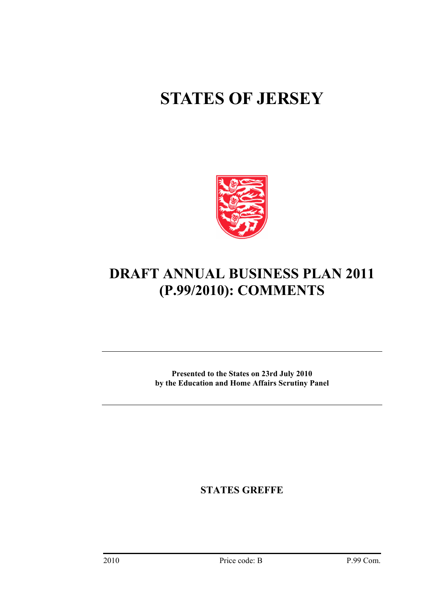# **STATES OF JERSEY**



# **DRAFT ANNUAL BUSINESS PLAN 2011 (P.99/2010): COMMENTS**

**Presented to the States on 23rd July 2010 by the Education and Home Affairs Scrutiny Panel** 

**STATES GREFFE**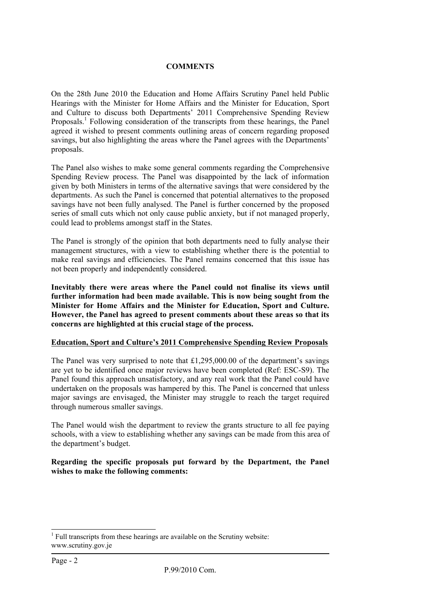# **COMMENTS**

On the 28th June 2010 the Education and Home Affairs Scrutiny Panel held Public Hearings with the Minister for Home Affairs and the Minister for Education, Sport and Culture to discuss both Departments' 2011 Comprehensive Spending Review Proposals.<sup>[1](#page-1-0)</sup> Following consideration of the transcripts from these hearings, the Panel agreed it wished to present comments outlining areas of concern regarding proposed savings, but also highlighting the areas where the Panel agrees with the Departments' proposals.

The Panel also wishes to make some general comments regarding the Comprehensive Spending Review process. The Panel was disappointed by the lack of information given by both Ministers in terms of the alternative savings that were considered by the departments. As such the Panel is concerned that potential alternatives to the proposed savings have not been fully analysed. The Panel is further concerned by the proposed series of small cuts which not only cause public anxiety, but if not managed properly, could lead to problems amongst staff in the States.

The Panel is strongly of the opinion that both departments need to fully analyse their management structures, with a view to establishing whether there is the potential to make real savings and efficiencies. The Panel remains concerned that this issue has not been properly and independently considered.

**Inevitably there were areas where the Panel could not finalise its views until further information had been made available. This is now being sought from the Minister for Home Affairs and the Minister for Education, Sport and Culture. However, the Panel has agreed to present comments about these areas so that its concerns are highlighted at this crucial stage of the process.** 

# **Education, Sport and Culture's 2011 Comprehensive Spending Review Proposals**

The Panel was very surprised to note that £1,295,000.00 of the department's savings are yet to be identified once major reviews have been completed (Ref: ESC-S9). The Panel found this approach unsatisfactory, and any real work that the Panel could have undertaken on the proposals was hampered by this. The Panel is concerned that unless major savings are envisaged, the Minister may struggle to reach the target required through numerous smaller savings.

The Panel would wish the department to review the grants structure to all fee paying schools, with a view to establishing whether any savings can be made from this area of the department's budget.

**Regarding the specific proposals put forward by the Department, the Panel wishes to make the following comments:** 

<span id="page-1-0"></span><sup>|&</sup>lt;br>|<br>|  $<sup>1</sup>$  Full transcripts from these hearings are available on the Scrutiny website:</sup> www.scrutiny.gov.je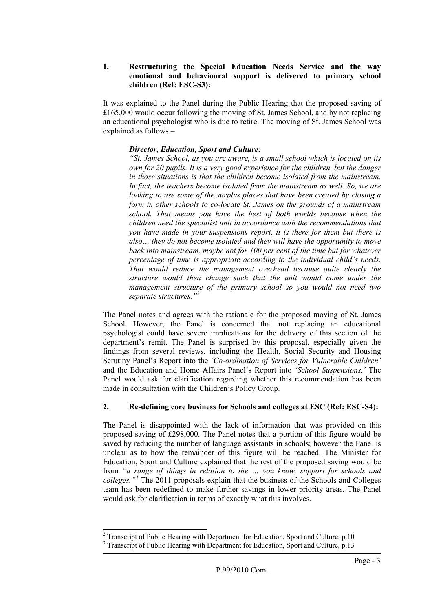#### **1. Restructuring the Special Education Needs Service and the way emotional and behavioural support is delivered to primary school children (Ref: ESC-S3):**

It was explained to the Panel during the Public Hearing that the proposed saving of £165,000 would occur following the moving of St. James School, and by not replacing an educational psychologist who is due to retire. The moving of St. James School was explained as follows –

# *Director, Education, Sport and Culture:*

*"St. James School, as you are aware, is a small school which is located on its own for 20 pupils. It is a very good experience for the children, but the danger in those situations is that the children become isolated from the mainstream. In fact, the teachers become isolated from the mainstream as well. So, we are looking to use some of the surplus places that have been created by closing a form in other schools to co-locate St. James on the grounds of a mainstream school. That means you have the best of both worlds because when the children need the specialist unit in accordance with the recommendations that you have made in your suspensions report, it is there for them but there is also… they do not become isolated and they will have the opportunity to move back into mainstream, maybe not for 100 per cent of the time but for whatever percentage of time is appropriate according to the individual child's needs. That would reduce the management overhead because quite clearly the structure would then change such that the unit would come under the management structure of the primary school so you would not need two separate structures."[2](#page-2-0)*

The Panel notes and agrees with the rationale for the proposed moving of St. James School. However, the Panel is concerned that not replacing an educational psychologist could have severe implications for the delivery of this section of the department's remit. The Panel is surprised by this proposal, especially given the findings from several reviews, including the Health, Social Security and Housing Scrutiny Panel's Report into the *'Co-ordination of Services for Vulnerable Children'*  and the Education and Home Affairs Panel's Report into *'School Suspensions.'* The Panel would ask for clarification regarding whether this recommendation has been made in consultation with the Children's Policy Group.

# **2. Re-defining core business for Schools and colleges at ESC (Ref: ESC-S4):**

The Panel is disappointed with the lack of information that was provided on this proposed saving of £298,000. The Panel notes that a portion of this figure would be saved by reducing the number of language assistants in schools; however the Panel is unclear as to how the remainder of this figure will be reached. The Minister for Education, Sport and Culture explained that the rest of the proposed saving would be from *"a range of things in relation to the … you know, support for schools and colleges."[3](#page-2-1)* The 2011 proposals explain that the business of the Schools and Colleges team has been redefined to make further savings in lower priority areas. The Panel would ask for clarification in terms of exactly what this involves.

<span id="page-2-0"></span><sup>&</sup>lt;sup>2</sup>  $2$  Transcript of Public Hearing with Department for Education, Sport and Culture, p.10

<span id="page-2-1"></span><sup>&</sup>lt;sup>3</sup> Transcript of Public Hearing with Department for Education, Sport and Culture, p.13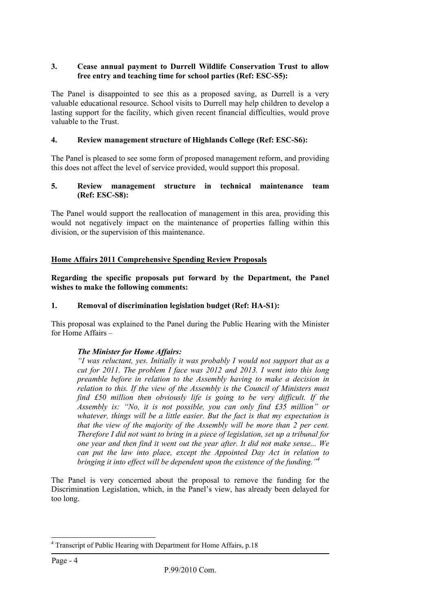# **3. Cease annual payment to Durrell Wildlife Conservation Trust to allow free entry and teaching time for school parties (Ref: ESC-S5):**

The Panel is disappointed to see this as a proposed saving, as Durrell is a very valuable educational resource. School visits to Durrell may help children to develop a lasting support for the facility, which given recent financial difficulties, would prove valuable to the Trust.

# **4. Review management structure of Highlands College (Ref: ESC-S6):**

The Panel is pleased to see some form of proposed management reform, and providing this does not affect the level of service provided, would support this proposal.

#### **5. Review management structure in technical maintenance team (Ref: ESC-S8):**

The Panel would support the reallocation of management in this area, providing this would not negatively impact on the maintenance of properties falling within this division, or the supervision of this maintenance.

# **Home Affairs 2011 Comprehensive Spending Review Proposals**

**Regarding the specific proposals put forward by the Department, the Panel wishes to make the following comments:** 

# **1. Removal of discrimination legislation budget (Ref: HA-S1):**

This proposal was explained to the Panel during the Public Hearing with the Minister for Home Affairs –

# *The Minister for Home Affairs:*

*"I was reluctant, yes. Initially it was probably I would not support that as a cut for 2011. The problem I face was 2012 and 2013. I went into this long preamble before in relation to the Assembly having to make a decision in relation to this. If the view of the Assembly is the Council of Ministers must find £50 million then obviously life is going to be very difficult. If the Assembly is: "No, it is not possible, you can only find £35 million" or whatever, things will be a little easier. But the fact is that my expectation is that the view of the majority of the Assembly will be more than 2 per cent. Therefore I did not want to bring in a piece of legislation, set up a tribunal for one year and then find it went out the year after. It did not make sense... We can put the law into place, except the Appointed Day Act in relation to bringing it into effect will be dependent upon the existence of the funding."[4](#page-3-0)*

The Panel is very concerned about the proposal to remove the funding for the Discrimination Legislation, which, in the Panel's view, has already been delayed for too long.

<span id="page-3-0"></span> $\frac{1}{4}$ <sup>4</sup> Transcript of Public Hearing with Department for Home Affairs, p.18